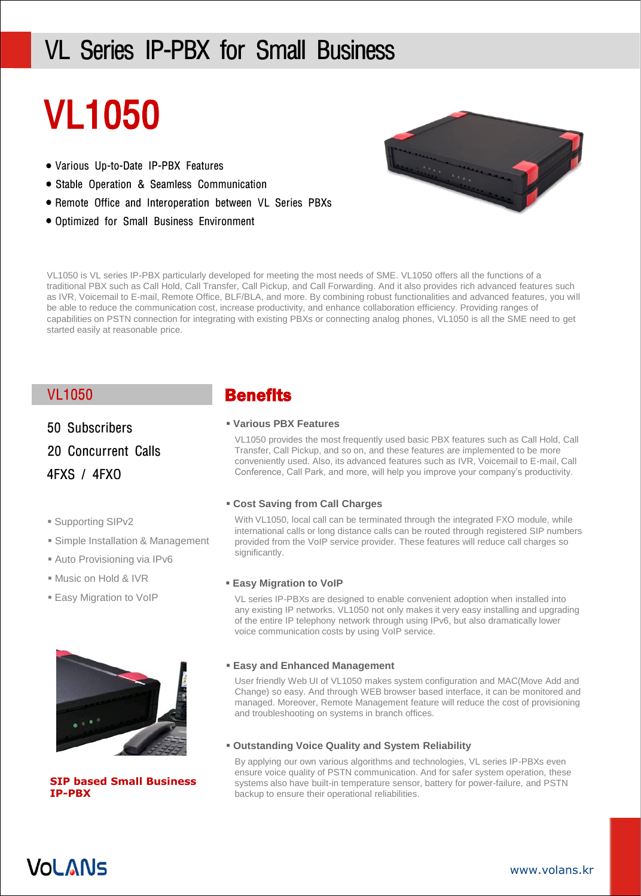# VL Series IP-PBX for Small Business

# VL1050

- Various Up-to-Date IP-PBX Features
- Stable Operation & Seamless Communication
- Remote Office and Interoperation between VL Series PBXs
- Optimized for Small Business Environment



VL1050 is VL series IP-PBX particularly developed for meeting the most needs of SME. VL1050 offers all the functions of a traditional PBX such as Call Hold, Call Transfer, Call Pickup, and Call Forwarding. And it also provides rich advanced features such as IVR, Voicemail to E-mail, Remote Office, BLF/BLA, and more. By combining robust functionalities and advanced features, you will be able to reduce the communication cost, increase productivity, and enhance collaboration efficiency. Providing ranges of capabilities on PSTN connection for integrating with existing PBXs or connecting analog phones, VL1050 is all the SME need to get started easily at reasonable price.

50 Subscribers

20 Concurrent Calls

4FXS / 4FXO

- Supporting SIPv2
- Simple Installation & Management
- Auto Provisioning via IPv6
- Music on Hold & IVR
- **Easy Migration to VoIP**



**SIP based Small Business IP-PBX**

## VL1050 **Benefits**

#### **Various PBX Features**

VL1050 provides the most frequently used basic PBX features such as Call Hold, Call Transfer, Call Pickup, and so on, and these features are implemented to be more conveniently used. Also, its advanced features such as IVR, Voicemail to E-mail, Call Conference, Call Park, and more, will help you improve your company's productivity.

#### **Cost Saving from Call Charges**

With VL1050, local call can be terminated through the integrated FXO module, while international calls or long distance calls can be routed through registered SIP numbers provided from the VoIP service provider. These features will reduce call charges so significantly.

#### **Easy Migration to VoIP**

VL series IP-PBXs are designed to enable convenient adoption when installed into any existing IP networks. VL1050 not only makes it very easy installing and upgrading of the entire IP telephony network through using IPv6, but also dramatically lower voice communication costs by using VoIP service.

#### **Easy and Enhanced Management**

User friendly Web UI of VL1050 makes system configuration and MAC(Move Add and Change) so easy. And through WEB browser based interface, it can be monitored and managed. Moreover, Remote Management feature will reduce the cost of provisioning and troubleshooting on systems in branch offices.

#### **Outstanding Voice Quality and System Reliability**

By applying our own various algorithms and technologies, VL series IP-PBXs even ensure voice quality of PSTN communication. And for safer system operation, these systems also have built-in temperature sensor, battery for power-failure, and PSTN backup to ensure their operational reliabilities.

## **VOLANS**